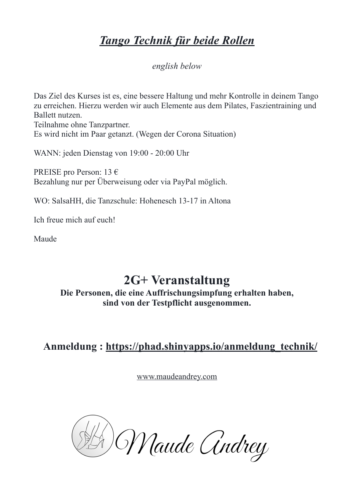## *Tango Technik für beide Rollen*

*english below*

Das Ziel des Kurses ist es, eine bessere Haltung und mehr Kontrolle in deinem Tango zu erreichen. Hierzu werden wir auch Elemente aus dem Pilates, Faszientraining und Ballett nutzen. Teilnahme ohne Tanzpartner. Es wird nicht im Paar getanzt. (Wegen der Corona Situation)

WANN: jeden Dienstag von 19:00 - 20:00 Uhr

PREISE pro Person: 13 € Bezahlung nur per Überweisung oder via PayPal möglich.

WO: SalsaHH, die Tanzschule: Hohenesch 13-17 in Altona

Ich freue mich auf euch!

Maude

## **2G+ Veranstaltung**

**Die Personen, die eine Auffrischungsimpfung erhalten haben, sind von der Testpflicht ausgenommen.**

 **Anmeldung : [https://phad.shinyapps.io/anmeldung\\_technik/](https://phad.shinyapps.io/anmeldung_technik/)**

[www.maudeandrey.com](http://www.maudeandrey.com)

D. Maude Andrey